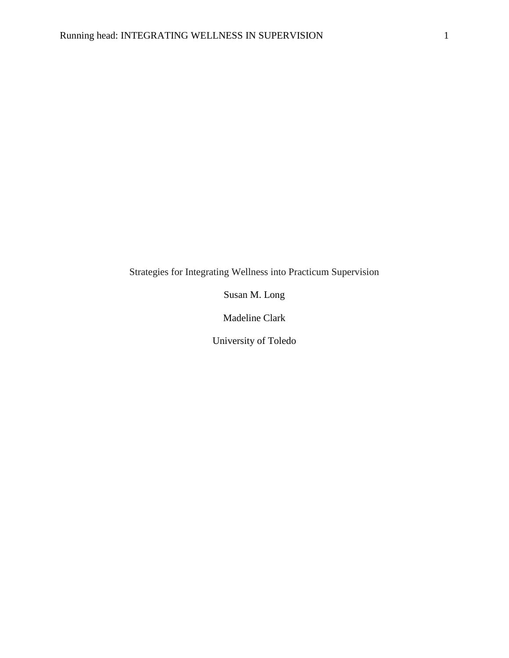Strategies for Integrating Wellness into Practicum Supervision

Susan M. Long

Madeline Clark

University of Toledo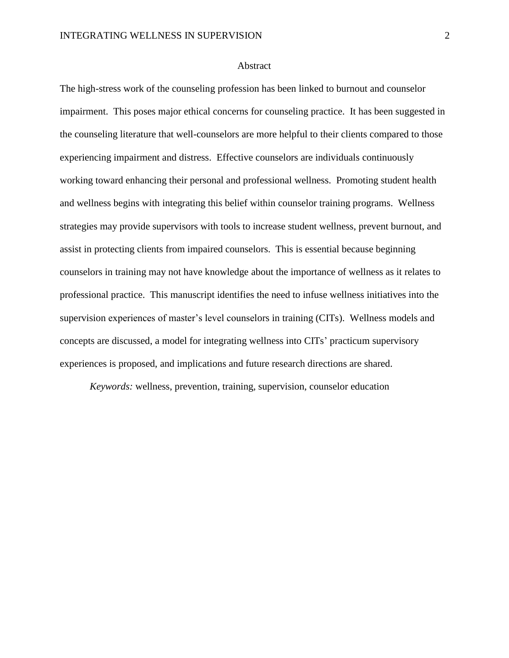## Abstract

The high-stress work of the counseling profession has been linked to burnout and counselor impairment. This poses major ethical concerns for counseling practice. It has been suggested in the counseling literature that well-counselors are more helpful to their clients compared to those experiencing impairment and distress. Effective counselors are individuals continuously working toward enhancing their personal and professional wellness. Promoting student health and wellness begins with integrating this belief within counselor training programs. Wellness strategies may provide supervisors with tools to increase student wellness, prevent burnout, and assist in protecting clients from impaired counselors. This is essential because beginning counselors in training may not have knowledge about the importance of wellness as it relates to professional practice. This manuscript identifies the need to infuse wellness initiatives into the supervision experiences of master's level counselors in training (CITs). Wellness models and concepts are discussed, a model for integrating wellness into CITs' practicum supervisory experiences is proposed, and implications and future research directions are shared.

*Keywords:* wellness, prevention, training, supervision, counselor education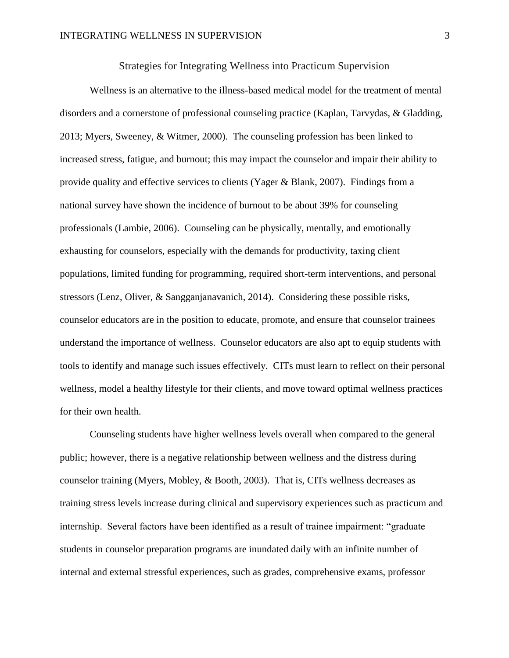Strategies for Integrating Wellness into Practicum Supervision

Wellness is an alternative to the illness-based medical model for the treatment of mental disorders and a cornerstone of professional counseling practice (Kaplan, Tarvydas, & Gladding, 2013; Myers, Sweeney, & Witmer, 2000). The counseling profession has been linked to increased stress, fatigue, and burnout; this may impact the counselor and impair their ability to provide quality and effective services to clients (Yager & Blank, 2007). Findings from a national survey have shown the incidence of burnout to be about 39% for counseling professionals (Lambie, 2006). Counseling can be physically, mentally, and emotionally exhausting for counselors, especially with the demands for productivity, taxing client populations, limited funding for programming, required short-term interventions, and personal stressors (Lenz, Oliver, & Sangganjanavanich, 2014). Considering these possible risks, counselor educators are in the position to educate, promote, and ensure that counselor trainees understand the importance of wellness. Counselor educators are also apt to equip students with tools to identify and manage such issues effectively. CITs must learn to reflect on their personal wellness, model a healthy lifestyle for their clients, and move toward optimal wellness practices for their own health.

Counseling students have higher wellness levels overall when compared to the general public; however, there is a negative relationship between wellness and the distress during counselor training (Myers, Mobley, & Booth, 2003). That is, CITs wellness decreases as training stress levels increase during clinical and supervisory experiences such as practicum and internship. Several factors have been identified as a result of trainee impairment: "graduate students in counselor preparation programs are inundated daily with an infinite number of internal and external stressful experiences, such as grades, comprehensive exams, professor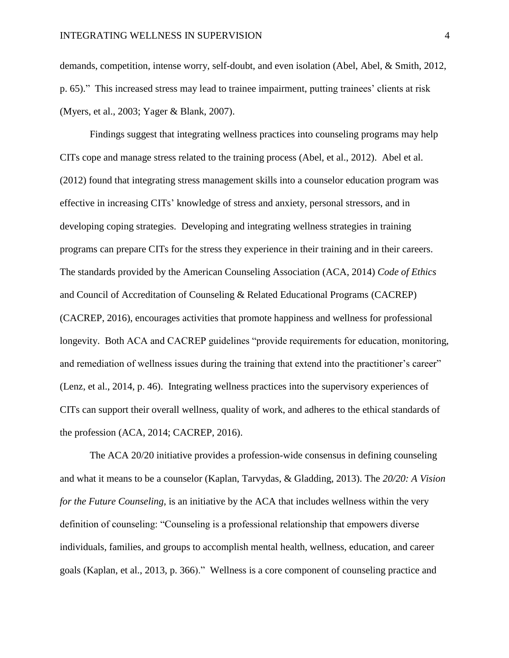demands, competition, intense worry, self-doubt, and even isolation (Abel, Abel, & Smith, 2012, p. 65)." This increased stress may lead to trainee impairment, putting trainees' clients at risk (Myers, et al., 2003; Yager & Blank, 2007).

Findings suggest that integrating wellness practices into counseling programs may help CITs cope and manage stress related to the training process (Abel, et al., 2012). Abel et al. (2012) found that integrating stress management skills into a counselor education program was effective in increasing CITs' knowledge of stress and anxiety, personal stressors, and in developing coping strategies. Developing and integrating wellness strategies in training programs can prepare CITs for the stress they experience in their training and in their careers. The standards provided by the American Counseling Association (ACA, 2014) *Code of Ethics* and Council of Accreditation of Counseling & Related Educational Programs (CACREP) (CACREP, 2016), encourages activities that promote happiness and wellness for professional longevity. Both ACA and CACREP guidelines "provide requirements for education, monitoring, and remediation of wellness issues during the training that extend into the practitioner's career" (Lenz, et al., 2014, p. 46). Integrating wellness practices into the supervisory experiences of CITs can support their overall wellness, quality of work, and adheres to the ethical standards of the profession (ACA, 2014; CACREP, 2016).

The ACA 20/20 initiative provides a profession-wide consensus in defining counseling and what it means to be a counselor (Kaplan, Tarvydas, & Gladding, 2013). The *20/20: A Vision for the Future Counseling,* is an initiative by the ACA that includes wellness within the very definition of counseling: "Counseling is a professional relationship that empowers diverse individuals, families, and groups to accomplish mental health, wellness, education, and career goals (Kaplan, et al., 2013, p. 366)." Wellness is a core component of counseling practice and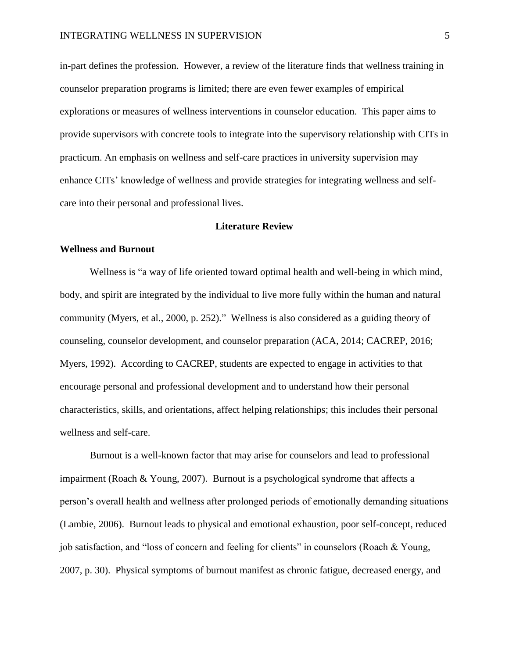in-part defines the profession. However, a review of the literature finds that wellness training in counselor preparation programs is limited; there are even fewer examples of empirical explorations or measures of wellness interventions in counselor education. This paper aims to provide supervisors with concrete tools to integrate into the supervisory relationship with CITs in practicum. An emphasis on wellness and self-care practices in university supervision may enhance CITs' knowledge of wellness and provide strategies for integrating wellness and selfcare into their personal and professional lives.

### **Literature Review**

# **Wellness and Burnout**

Wellness is "a way of life oriented toward optimal health and well-being in which mind, body, and spirit are integrated by the individual to live more fully within the human and natural community (Myers, et al., 2000, p. 252)." Wellness is also considered as a guiding theory of counseling, counselor development, and counselor preparation (ACA, 2014; CACREP, 2016; Myers, 1992). According to CACREP, students are expected to engage in activities to that encourage personal and professional development and to understand how their personal characteristics, skills, and orientations, affect helping relationships; this includes their personal wellness and self-care.

Burnout is a well-known factor that may arise for counselors and lead to professional impairment (Roach & Young, 2007). Burnout is a psychological syndrome that affects a person's overall health and wellness after prolonged periods of emotionally demanding situations (Lambie, 2006). Burnout leads to physical and emotional exhaustion, poor self-concept, reduced job satisfaction, and "loss of concern and feeling for clients" in counselors (Roach & Young, 2007, p. 30). Physical symptoms of burnout manifest as chronic fatigue, decreased energy, and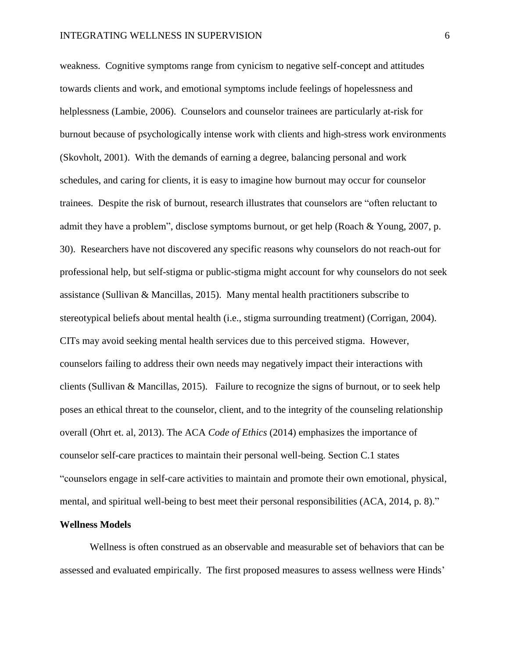weakness. Cognitive symptoms range from cynicism to negative self-concept and attitudes towards clients and work, and emotional symptoms include feelings of hopelessness and helplessness (Lambie, 2006). Counselors and counselor trainees are particularly at-risk for burnout because of psychologically intense work with clients and high-stress work environments (Skovholt, 2001). With the demands of earning a degree, balancing personal and work schedules, and caring for clients, it is easy to imagine how burnout may occur for counselor trainees. Despite the risk of burnout, research illustrates that counselors are "often reluctant to admit they have a problem", disclose symptoms burnout, or get help (Roach & Young, 2007, p. 30). Researchers have not discovered any specific reasons why counselors do not reach-out for professional help, but self-stigma or public-stigma might account for why counselors do not seek assistance (Sullivan & Mancillas, 2015). Many mental health practitioners subscribe to stereotypical beliefs about mental health (i.e., stigma surrounding treatment) (Corrigan, 2004). CITs may avoid seeking mental health services due to this perceived stigma. However, counselors failing to address their own needs may negatively impact their interactions with clients (Sullivan & Mancillas, 2015). Failure to recognize the signs of burnout, or to seek help poses an ethical threat to the counselor, client, and to the integrity of the counseling relationship overall (Ohrt et. al, 2013). The ACA *Code of Ethics* (2014) emphasizes the importance of counselor self-care practices to maintain their personal well-being. Section C.1 states "counselors engage in self-care activities to maintain and promote their own emotional, physical, mental, and spiritual well-being to best meet their personal responsibilities (ACA, 2014, p. 8)."

# **Wellness Models**

Wellness is often construed as an observable and measurable set of behaviors that can be assessed and evaluated empirically. The first proposed measures to assess wellness were Hinds'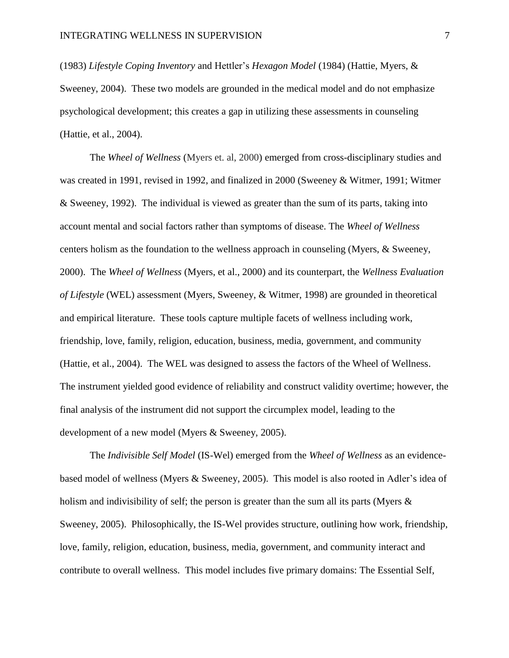(1983) *Lifestyle Coping Inventory* and Hettler's *Hexagon Model* (1984) (Hattie, Myers, & Sweeney, 2004). These two models are grounded in the medical model and do not emphasize psychological development; this creates a gap in utilizing these assessments in counseling (Hattie, et al., 2004).

The *Wheel of Wellness* (Myers et. al, 2000) emerged from cross-disciplinary studies and was created in 1991, revised in 1992, and finalized in 2000 (Sweeney & Witmer, 1991; Witmer & Sweeney, 1992). The individual is viewed as greater than the sum of its parts, taking into account mental and social factors rather than symptoms of disease. The *Wheel of Wellness* centers holism as the foundation to the wellness approach in counseling (Myers, & Sweeney, 2000). The *Wheel of Wellness* (Myers, et al., 2000) and its counterpart, the *Wellness Evaluation of Lifestyle* (WEL) assessment (Myers, Sweeney, & Witmer, 1998) are grounded in theoretical and empirical literature. These tools capture multiple facets of wellness including work, friendship, love, family, religion, education, business, media, government, and community (Hattie, et al., 2004). The WEL was designed to assess the factors of the Wheel of Wellness. The instrument yielded good evidence of reliability and construct validity overtime; however, the final analysis of the instrument did not support the circumplex model, leading to the development of a new model (Myers & Sweeney, 2005).

The *Indivisible Self Model* (IS-Wel) emerged from the *Wheel of Wellness* as an evidencebased model of wellness (Myers & Sweeney, 2005). This model is also rooted in Adler's idea of holism and indivisibility of self; the person is greater than the sum all its parts (Myers  $\&$ Sweeney, 2005). Philosophically, the IS-Wel provides structure, outlining how work, friendship, love, family, religion, education, business, media, government, and community interact and contribute to overall wellness. This model includes five primary domains: The Essential Self,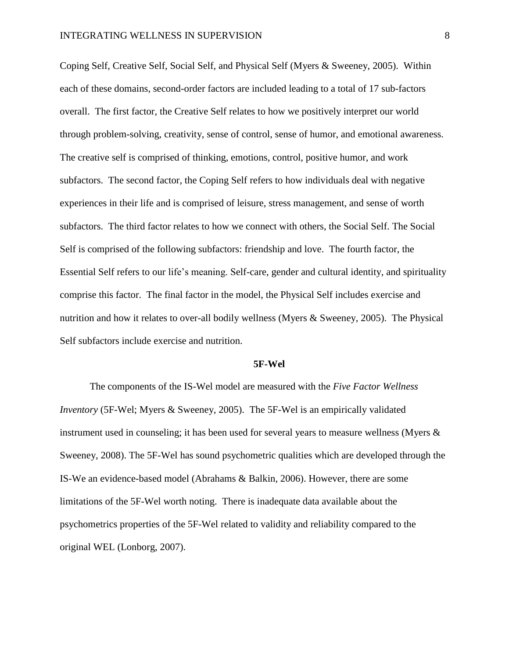Coping Self, Creative Self, Social Self, and Physical Self (Myers & Sweeney, 2005). Within each of these domains, second-order factors are included leading to a total of 17 sub-factors overall. The first factor, the Creative Self relates to how we positively interpret our world through problem-solving, creativity, sense of control, sense of humor, and emotional awareness. The creative self is comprised of thinking, emotions, control, positive humor, and work subfactors. The second factor, the Coping Self refers to how individuals deal with negative experiences in their life and is comprised of leisure, stress management, and sense of worth subfactors. The third factor relates to how we connect with others, the Social Self. The Social Self is comprised of the following subfactors: friendship and love. The fourth factor, the Essential Self refers to our life's meaning. Self-care, gender and cultural identity, and spirituality comprise this factor. The final factor in the model, the Physical Self includes exercise and nutrition and how it relates to over-all bodily wellness (Myers & Sweeney, 2005). The Physical Self subfactors include exercise and nutrition.

#### **5F-Wel**

The components of the IS-Wel model are measured with the *Five Factor Wellness Inventory* (5F-Wel; Myers & Sweeney, 2005). The 5F-Wel is an empirically validated instrument used in counseling; it has been used for several years to measure wellness (Myers & Sweeney, 2008). The 5F-Wel has sound psychometric qualities which are developed through the IS-We an evidence-based model (Abrahams & Balkin, 2006). However, there are some limitations of the 5F-Wel worth noting. There is inadequate data available about the psychometrics properties of the 5F-Wel related to validity and reliability compared to the original WEL (Lonborg, 2007).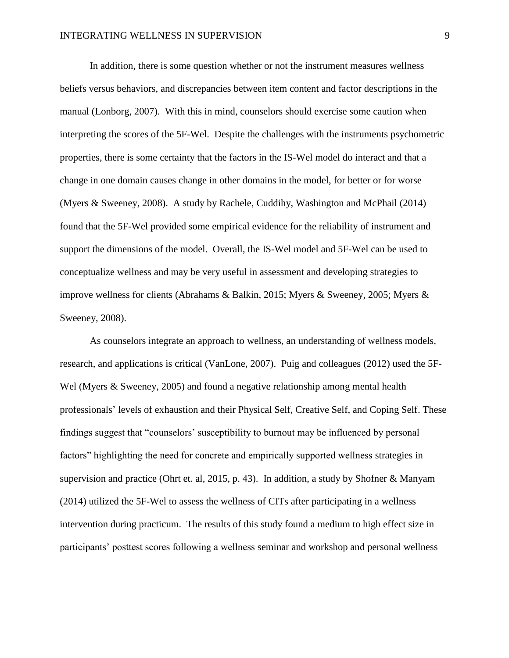In addition, there is some question whether or not the instrument measures wellness beliefs versus behaviors, and discrepancies between item content and factor descriptions in the manual (Lonborg, 2007). With this in mind, counselors should exercise some caution when interpreting the scores of the 5F-Wel. Despite the challenges with the instruments psychometric properties, there is some certainty that the factors in the IS-Wel model do interact and that a change in one domain causes change in other domains in the model, for better or for worse (Myers & Sweeney, 2008). A study by Rachele, Cuddihy, Washington and McPhail (2014) found that the 5F-Wel provided some empirical evidence for the reliability of instrument and support the dimensions of the model. Overall, the IS-Wel model and 5F-Wel can be used to conceptualize wellness and may be very useful in assessment and developing strategies to improve wellness for clients (Abrahams & Balkin, 2015; Myers & Sweeney, 2005; Myers & Sweeney, 2008).

As counselors integrate an approach to wellness, an understanding of wellness models, research, and applications is critical (VanLone, 2007). Puig and colleagues (2012) used the 5F-Wel (Myers & Sweeney, 2005) and found a negative relationship among mental health professionals' levels of exhaustion and their Physical Self, Creative Self, and Coping Self. These findings suggest that "counselors' susceptibility to burnout may be influenced by personal factors" highlighting the need for concrete and empirically supported wellness strategies in supervision and practice (Ohrt et. al, 2015, p. 43). In addition, a study by Shofner & Manyam (2014) utilized the 5F-Wel to assess the wellness of CITs after participating in a wellness intervention during practicum. The results of this study found a medium to high effect size in participants' posttest scores following a wellness seminar and workshop and personal wellness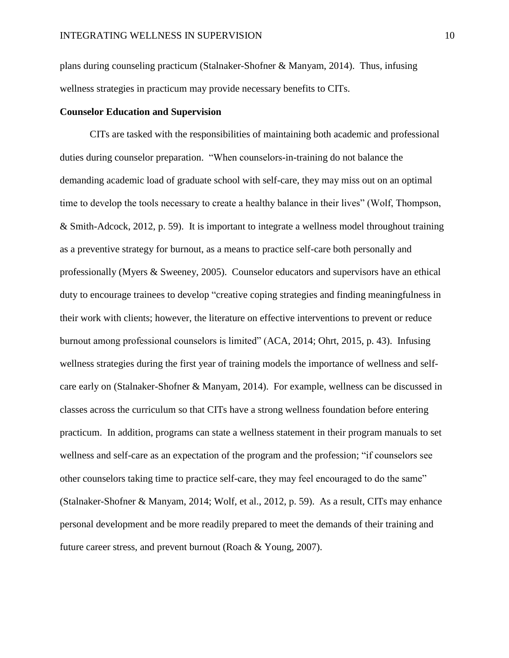plans during counseling practicum (Stalnaker-Shofner & Manyam, 2014). Thus, infusing wellness strategies in practicum may provide necessary benefits to CITs.

### **Counselor Education and Supervision**

CITs are tasked with the responsibilities of maintaining both academic and professional duties during counselor preparation. "When counselors-in-training do not balance the demanding academic load of graduate school with self-care, they may miss out on an optimal time to develop the tools necessary to create a healthy balance in their lives" (Wolf, Thompson, & Smith-Adcock, 2012, p. 59). It is important to integrate a wellness model throughout training as a preventive strategy for burnout, as a means to practice self-care both personally and professionally (Myers & Sweeney, 2005). Counselor educators and supervisors have an ethical duty to encourage trainees to develop "creative coping strategies and finding meaningfulness in their work with clients; however, the literature on effective interventions to prevent or reduce burnout among professional counselors is limited" (ACA, 2014; Ohrt, 2015, p. 43). Infusing wellness strategies during the first year of training models the importance of wellness and selfcare early on (Stalnaker-Shofner & Manyam, 2014). For example, wellness can be discussed in classes across the curriculum so that CITs have a strong wellness foundation before entering practicum. In addition, programs can state a wellness statement in their program manuals to set wellness and self-care as an expectation of the program and the profession; "if counselors see other counselors taking time to practice self-care, they may feel encouraged to do the same" (Stalnaker-Shofner & Manyam, 2014; Wolf, et al., 2012, p. 59). As a result, CITs may enhance personal development and be more readily prepared to meet the demands of their training and future career stress, and prevent burnout (Roach & Young, 2007).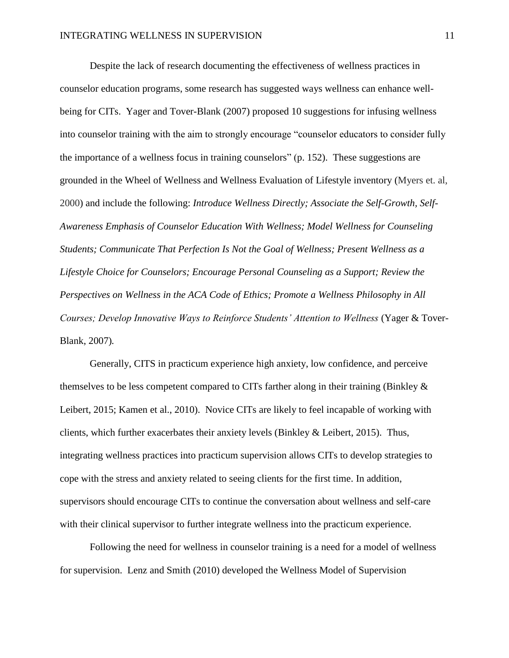Despite the lack of research documenting the effectiveness of wellness practices in counselor education programs, some research has suggested ways wellness can enhance wellbeing for CITs. Yager and Tover-Blank (2007) proposed 10 suggestions for infusing wellness into counselor training with the aim to strongly encourage "counselor educators to consider fully the importance of a wellness focus in training counselors" (p. 152). These suggestions are grounded in the Wheel of Wellness and Wellness Evaluation of Lifestyle inventory (Myers et. al, 2000) and include the following: *Introduce Wellness Directly; Associate the Self-Growth, Self-Awareness Emphasis of Counselor Education With Wellness; Model Wellness for Counseling Students; Communicate That Perfection Is Not the Goal of Wellness; Present Wellness as a Lifestyle Choice for Counselors; Encourage Personal Counseling as a Support; Review the Perspectives on Wellness in the ACA Code of Ethics; Promote a Wellness Philosophy in All Courses; Develop Innovative Ways to Reinforce Students' Attention to Wellness* (Yager & Tover-Blank, 2007)*.*

Generally, CITS in practicum experience high anxiety, low confidence, and perceive themselves to be less competent compared to CITs farther along in their training (Binkley & Leibert, 2015; Kamen et al., 2010). Novice CITs are likely to feel incapable of working with clients, which further exacerbates their anxiety levels (Binkley & Leibert, 2015). Thus, integrating wellness practices into practicum supervision allows CITs to develop strategies to cope with the stress and anxiety related to seeing clients for the first time. In addition, supervisors should encourage CITs to continue the conversation about wellness and self-care with their clinical supervisor to further integrate wellness into the practicum experience.

Following the need for wellness in counselor training is a need for a model of wellness for supervision. Lenz and Smith (2010) developed the Wellness Model of Supervision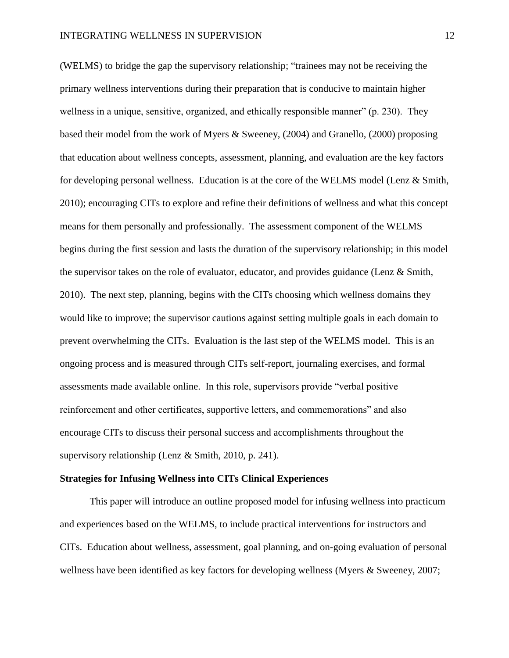(WELMS) to bridge the gap the supervisory relationship; "trainees may not be receiving the primary wellness interventions during their preparation that is conducive to maintain higher wellness in a unique, sensitive, organized, and ethically responsible manner" (p. 230). They based their model from the work of Myers & Sweeney, (2004) and Granello, (2000) proposing that education about wellness concepts, assessment, planning, and evaluation are the key factors for developing personal wellness. Education is at the core of the WELMS model (Lenz & Smith, 2010); encouraging CITs to explore and refine their definitions of wellness and what this concept means for them personally and professionally. The assessment component of the WELMS begins during the first session and lasts the duration of the supervisory relationship; in this model the supervisor takes on the role of evaluator, educator, and provides guidance (Lenz & Smith, 2010). The next step, planning, begins with the CITs choosing which wellness domains they would like to improve; the supervisor cautions against setting multiple goals in each domain to prevent overwhelming the CITs. Evaluation is the last step of the WELMS model. This is an ongoing process and is measured through CITs self-report, journaling exercises, and formal assessments made available online. In this role, supervisors provide "verbal positive reinforcement and other certificates, supportive letters, and commemorations" and also encourage CITs to discuss their personal success and accomplishments throughout the supervisory relationship (Lenz & Smith, 2010, p. 241).

#### **Strategies for Infusing Wellness into CITs Clinical Experiences**

This paper will introduce an outline proposed model for infusing wellness into practicum and experiences based on the WELMS, to include practical interventions for instructors and CITs. Education about wellness, assessment, goal planning, and on-going evaluation of personal wellness have been identified as key factors for developing wellness (Myers & Sweeney, 2007;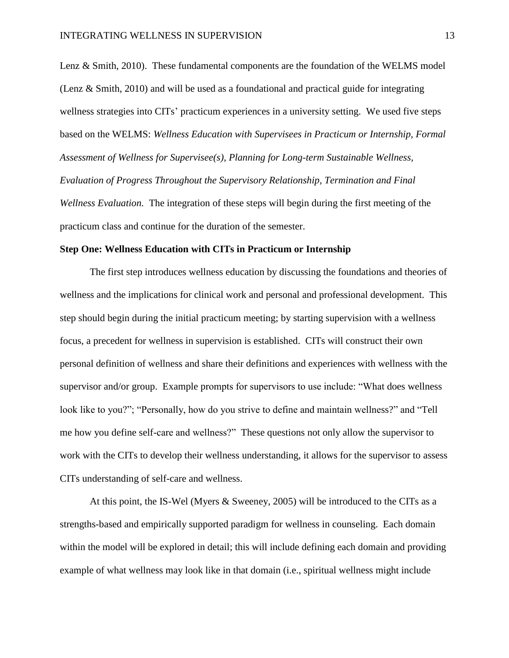Lenz & Smith, 2010). These fundamental components are the foundation of the WELMS model (Lenz & Smith, 2010) and will be used as a foundational and practical guide for integrating wellness strategies into CITs' practicum experiences in a university setting. We used five steps based on the WELMS: *Wellness Education with Supervisees in Practicum or Internship, Formal Assessment of Wellness for Supervisee(s), Planning for Long-term Sustainable Wellness, Evaluation of Progress Throughout the Supervisory Relationship, Termination and Final Wellness Evaluation.* The integration of these steps will begin during the first meeting of the practicum class and continue for the duration of the semester.

#### **Step One: Wellness Education with CITs in Practicum or Internship**

The first step introduces wellness education by discussing the foundations and theories of wellness and the implications for clinical work and personal and professional development. This step should begin during the initial practicum meeting; by starting supervision with a wellness focus, a precedent for wellness in supervision is established. CITs will construct their own personal definition of wellness and share their definitions and experiences with wellness with the supervisor and/or group. Example prompts for supervisors to use include: "What does wellness look like to you?"; "Personally, how do you strive to define and maintain wellness?" and "Tell me how you define self-care and wellness?" These questions not only allow the supervisor to work with the CITs to develop their wellness understanding, it allows for the supervisor to assess CITs understanding of self-care and wellness.

At this point, the IS-Wel (Myers & Sweeney, 2005) will be introduced to the CITs as a strengths-based and empirically supported paradigm for wellness in counseling. Each domain within the model will be explored in detail; this will include defining each domain and providing example of what wellness may look like in that domain (i.e., spiritual wellness might include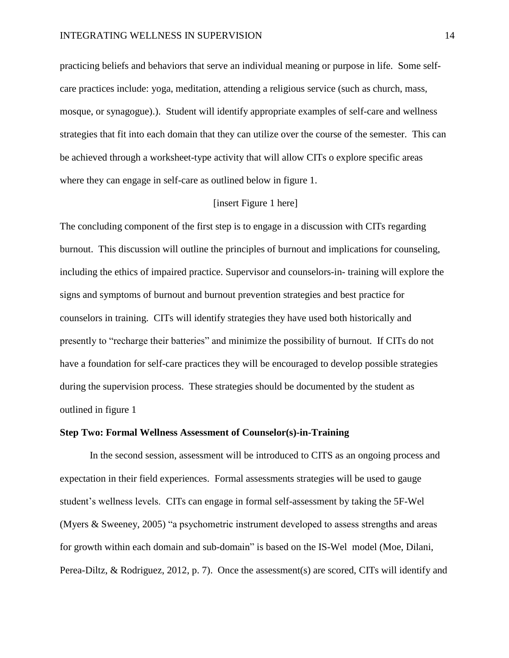practicing beliefs and behaviors that serve an individual meaning or purpose in life. Some selfcare practices include: yoga, meditation, attending a religious service (such as church, mass, mosque, or synagogue).). Student will identify appropriate examples of self-care and wellness strategies that fit into each domain that they can utilize over the course of the semester. This can be achieved through a worksheet-type activity that will allow CITs o explore specific areas where they can engage in self-care as outlined below in figure 1.

# [insert Figure 1 here]

The concluding component of the first step is to engage in a discussion with CITs regarding burnout. This discussion will outline the principles of burnout and implications for counseling, including the ethics of impaired practice. Supervisor and counselors-in- training will explore the signs and symptoms of burnout and burnout prevention strategies and best practice for counselors in training. CITs will identify strategies they have used both historically and presently to "recharge their batteries" and minimize the possibility of burnout. If CITs do not have a foundation for self-care practices they will be encouraged to develop possible strategies during the supervision process. These strategies should be documented by the student as outlined in figure 1

### **Step Two: Formal Wellness Assessment of Counselor(s)-in-Training**

In the second session, assessment will be introduced to CITS as an ongoing process and expectation in their field experiences. Formal assessments strategies will be used to gauge student's wellness levels. CITs can engage in formal self-assessment by taking the 5F-Wel (Myers & Sweeney, 2005) "a psychometric instrument developed to assess strengths and areas for growth within each domain and sub-domain" is based on the IS-Wel model (Moe, Dilani, Perea-Diltz, & Rodriguez, 2012, p. 7). Once the assessment(s) are scored, CITs will identify and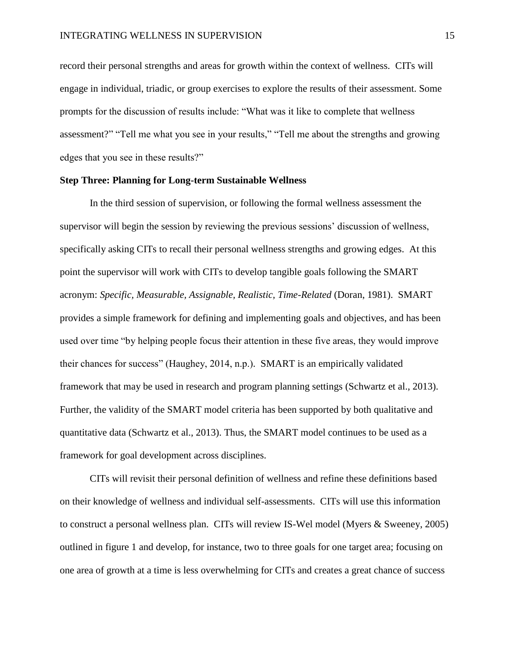record their personal strengths and areas for growth within the context of wellness. CITs will engage in individual, triadic, or group exercises to explore the results of their assessment. Some prompts for the discussion of results include: "What was it like to complete that wellness assessment?" "Tell me what you see in your results," "Tell me about the strengths and growing edges that you see in these results?"

# **Step Three: Planning for Long-term Sustainable Wellness**

In the third session of supervision, or following the formal wellness assessment the supervisor will begin the session by reviewing the previous sessions' discussion of wellness, specifically asking CITs to recall their personal wellness strengths and growing edges. At this point the supervisor will work with CITs to develop tangible goals following the SMART acronym: *Specific, Measurable, Assignable, Realistic, Time-Related* (Doran, 1981). SMART provides a simple framework for defining and implementing goals and objectives, and has been used over time "by helping people focus their attention in these five areas, they would improve their chances for success" (Haughey, 2014, n.p.). SMART is an empirically validated framework that may be used in research and program planning settings (Schwartz et al., 2013). Further, the validity of the SMART model criteria has been supported by both qualitative and quantitative data (Schwartz et al., 2013). Thus, the SMART model continues to be used as a framework for goal development across disciplines.

CITs will revisit their personal definition of wellness and refine these definitions based on their knowledge of wellness and individual self-assessments. CITs will use this information to construct a personal wellness plan. CITs will review IS-Wel model (Myers & Sweeney, 2005) outlined in figure 1 and develop, for instance, two to three goals for one target area; focusing on one area of growth at a time is less overwhelming for CITs and creates a great chance of success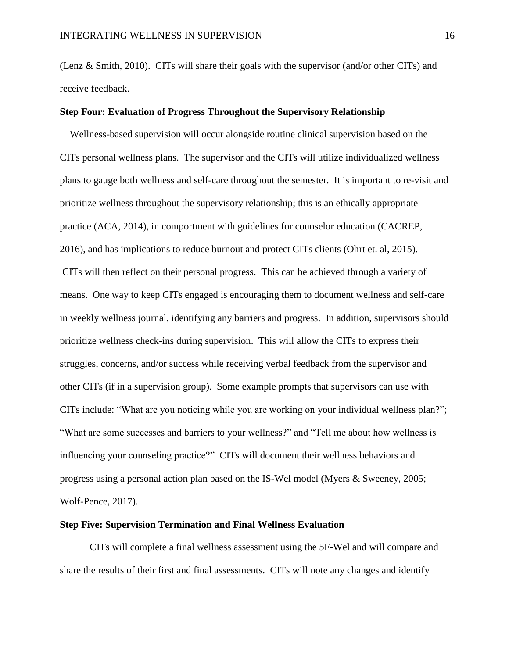(Lenz & Smith, 2010). CITs will share their goals with the supervisor (and/or other CITs) and receive feedback.

# **Step Four: Evaluation of Progress Throughout the Supervisory Relationship**

 Wellness-based supervision will occur alongside routine clinical supervision based on the CITs personal wellness plans. The supervisor and the CITs will utilize individualized wellness plans to gauge both wellness and self-care throughout the semester. It is important to re-visit and prioritize wellness throughout the supervisory relationship; this is an ethically appropriate practice (ACA, 2014), in comportment with guidelines for counselor education (CACREP, 2016), and has implications to reduce burnout and protect CITs clients (Ohrt et. al, 2015). CITs will then reflect on their personal progress. This can be achieved through a variety of means. One way to keep CITs engaged is encouraging them to document wellness and self-care in weekly wellness journal, identifying any barriers and progress. In addition, supervisors should prioritize wellness check-ins during supervision. This will allow the CITs to express their struggles, concerns, and/or success while receiving verbal feedback from the supervisor and other CITs (if in a supervision group). Some example prompts that supervisors can use with CITs include: "What are you noticing while you are working on your individual wellness plan?"; "What are some successes and barriers to your wellness?" and "Tell me about how wellness is influencing your counseling practice?" CITs will document their wellness behaviors and progress using a personal action plan based on the IS-Wel model (Myers & Sweeney, 2005; Wolf-Pence, 2017).

# **Step Five: Supervision Termination and Final Wellness Evaluation**

CITs will complete a final wellness assessment using the 5F-Wel and will compare and share the results of their first and final assessments. CITs will note any changes and identify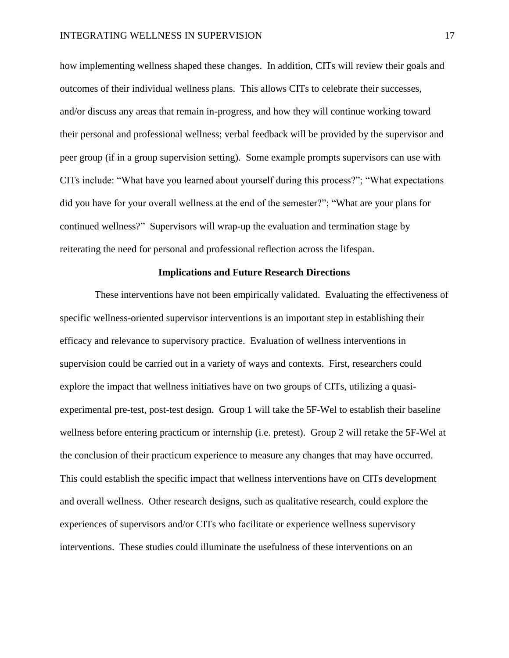how implementing wellness shaped these changes. In addition, CITs will review their goals and outcomes of their individual wellness plans. This allows CITs to celebrate their successes, and/or discuss any areas that remain in-progress, and how they will continue working toward their personal and professional wellness; verbal feedback will be provided by the supervisor and peer group (if in a group supervision setting). Some example prompts supervisors can use with CITs include: "What have you learned about yourself during this process?"; "What expectations did you have for your overall wellness at the end of the semester?"; "What are your plans for continued wellness?" Supervisors will wrap-up the evaluation and termination stage by reiterating the need for personal and professional reflection across the lifespan.

### **Implications and Future Research Directions**

 These interventions have not been empirically validated. Evaluating the effectiveness of specific wellness-oriented supervisor interventions is an important step in establishing their efficacy and relevance to supervisory practice. Evaluation of wellness interventions in supervision could be carried out in a variety of ways and contexts. First, researchers could explore the impact that wellness initiatives have on two groups of CITs, utilizing a quasiexperimental pre-test, post-test design. Group 1 will take the 5F-Wel to establish their baseline wellness before entering practicum or internship (i.e. pretest). Group 2 will retake the 5F-Wel at the conclusion of their practicum experience to measure any changes that may have occurred. This could establish the specific impact that wellness interventions have on CITs development and overall wellness. Other research designs, such as qualitative research, could explore the experiences of supervisors and/or CITs who facilitate or experience wellness supervisory interventions. These studies could illuminate the usefulness of these interventions on an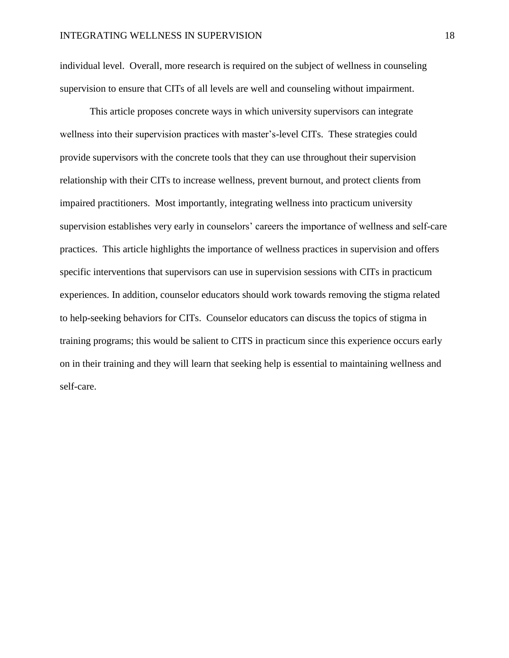individual level. Overall, more research is required on the subject of wellness in counseling supervision to ensure that CITs of all levels are well and counseling without impairment.

 This article proposes concrete ways in which university supervisors can integrate wellness into their supervision practices with master's-level CITs. These strategies could provide supervisors with the concrete tools that they can use throughout their supervision relationship with their CITs to increase wellness, prevent burnout, and protect clients from impaired practitioners. Most importantly, integrating wellness into practicum university supervision establishes very early in counselors' careers the importance of wellness and self-care practices. This article highlights the importance of wellness practices in supervision and offers specific interventions that supervisors can use in supervision sessions with CITs in practicum experiences. In addition, counselor educators should work towards removing the stigma related to help-seeking behaviors for CITs. Counselor educators can discuss the topics of stigma in training programs; this would be salient to CITS in practicum since this experience occurs early on in their training and they will learn that seeking help is essential to maintaining wellness and self-care.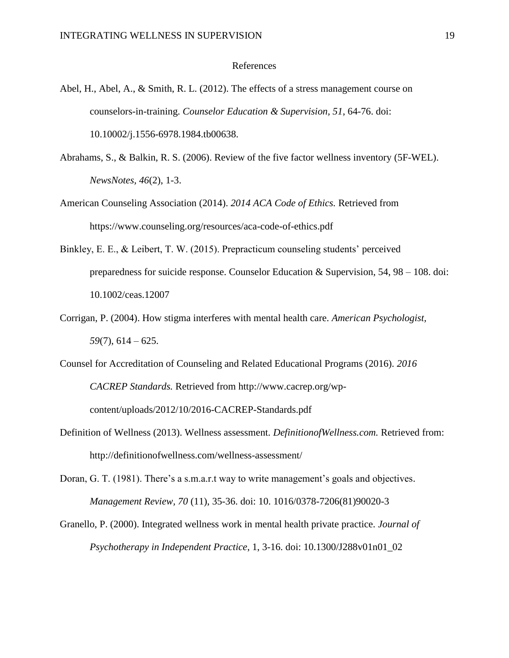## References

- Abel, H., Abel, A., & Smith, R. L. (2012). The effects of a stress management course on counselors-in-training. *Counselor Education & Supervision, 51*, 64-76. doi: 10.10002/j.1556-6978.1984.tb00638.
- Abrahams, S., & Balkin, R. S. (2006). Review of the five factor wellness inventory (5F-WEL). *NewsNotes, 46*(2), 1-3.
- American Counseling Association (2014). *2014 ACA Code of Ethics.* Retrieved from <https://www.counseling.org/resources/aca-code-of-ethics.pdf>
- Binkley, E. E., & Leibert, T. W. (2015). Prepracticum counseling students' perceived preparedness for suicide response. Counselor Education  $\&$  Supervision, 54, 98 – 108. doi: 10.1002/ceas.12007
- Corrigan, P. (2004). How stigma interferes with mental health care. *American Psychologist, 59*(7), 614 – 625.
- Counsel for Accreditation of Counseling and Related Educational Programs (2016). *2016 CACREP Standards.* Retrieved from http://www.cacrep.org/wpcontent/uploads/2012/10/2016-CACREP-Standards.pdf
- Definition of Wellness (2013). Wellness assessment. *DefinitionofWellness.com.* Retrieved from: http://definitionofwellness.com/wellness-assessment/
- Doran, G. T. (1981). There's a s.m.a.r.t way to write management's goals and objectives. *Management Review, 70* (11), 35-36. doi: 10. 1016/0378-7206(81)90020-3
- Granello, P. (2000). Integrated wellness work in mental health private practice. *Journal of Psychotherapy in Independent Practice*, 1, 3-16. doi: 10.1300/J288v01n01\_02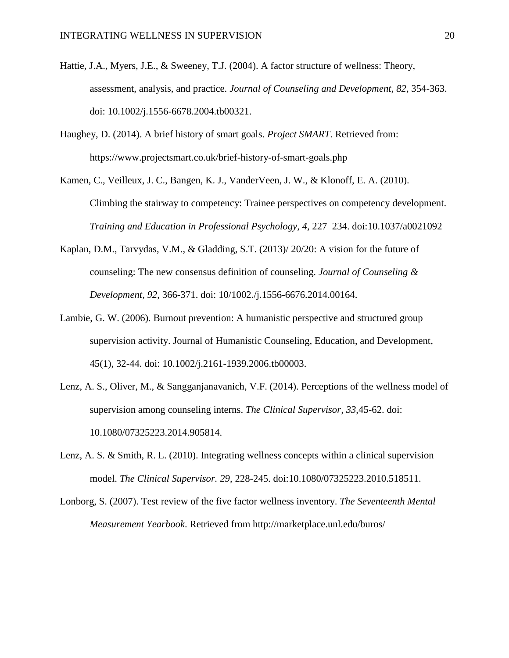- Hattie, J.A., Myers, J.E., & Sweeney, T.J. (2004). A factor structure of wellness: Theory, assessment, analysis, and practice. *Journal of Counseling and Development, 82*, 354-363. doi: 10.1002/j.1556-6678.2004.tb00321.
- Haughey, D. (2014). A brief history of smart goals. *Project SMART*. Retrieved from: <https://www.projectsmart.co.uk/brief-history-of-smart-goals.php>

Kamen, C., Veilleux, J. C., Bangen, K. J., VanderVeen, J. W., & Klonoff, E. A. (2010). Climbing the stairway to competency: Trainee perspectives on competency development. *Training and Education in Professional Psychology, 4,* 227–234. doi:10.1037/a0021092

- Kaplan, D.M., Tarvydas, V.M., & Gladding, S.T. (2013)/ 20/20: A vision for the future of counseling: The new consensus definition of counseling. *Journal of Counseling & Development, 92*, 366-371. doi: 10/1002./j.1556-6676.2014.00164.
- Lambie, G. W. (2006). Burnout prevention: A humanistic perspective and structured group supervision activity. Journal of Humanistic Counseling, Education, and Development, 45(1), 32-44. doi: 10.1002/j.2161-1939.2006.tb00003.
- Lenz, A. S., Oliver, M., & Sangganjanavanich, V.F. (2014). Perceptions of the wellness model of supervision among counseling interns. *The Clinical Supervisor, 33*,45-62. doi: 10.1080/07325223.2014.905814.
- Lenz, A. S. & Smith, R. L. (2010). Integrating wellness concepts within a clinical supervision model. *The Clinical Supervisor. 29*, 228-245. doi:10.1080/07325223.2010.518511.
- Lonborg, S. (2007). Test review of the five factor wellness inventory. *The Seventeenth Mental Measurement Yearbook*. Retrieved from http://marketplace.unl.edu/buros/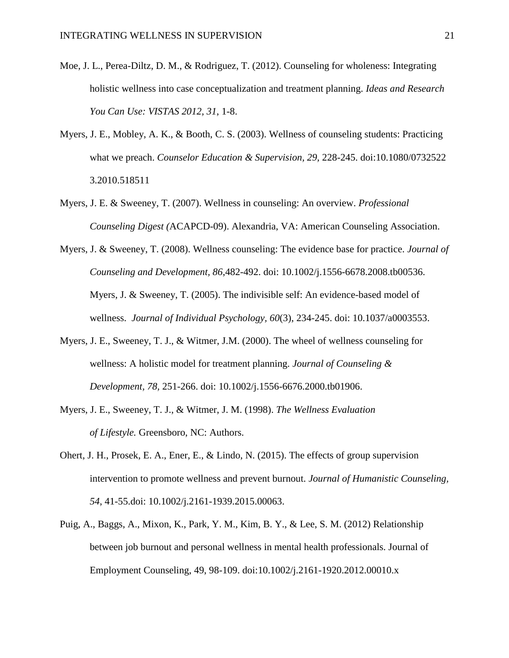- Moe, J. L., Perea-Diltz, D. M., & Rodriguez, T. (2012). Counseling for wholeness: Integrating holistic wellness into case conceptualization and treatment planning. *Ideas and Research You Can Use: VISTAS 2012, 31*, 1-8.
- Myers, J. E., Mobley, A. K., & Booth, C. S. (2003). Wellness of counseling students: Practicing what we preach. *Counselor Education & Supervision, 29,* 228-245. doi:10.1080/0732522 3.2010.518511
- Myers, J. E. & Sweeney, T. (2007). Wellness in counseling: An overview. *Professional Counseling Digest (*ACAPCD-09). Alexandria, VA: American Counseling Association.
- Myers, J. & Sweeney, T. (2008). Wellness counseling: The evidence base for practice. *Journal of Counseling and Development, 86*,482-492. doi: 10.1002/j.1556-6678.2008.tb00536. Myers, J. & Sweeney, T. (2005). The indivisible self: An evidence-based model of wellness. *Journal of Individual Psychology, 60*(3), 234-245. doi: 10.1037/a0003553.
- Myers, J. E., Sweeney, T. J., & Witmer, J.M. (2000). The wheel of wellness counseling for wellness: A holistic model for treatment planning. *Journal of Counseling & Development, 78,* 251-266. doi: 10.1002/j.1556-6676.2000.tb01906.
- Myers, J. E., Sweeney, T. J., & Witmer, J. M. (1998). *The Wellness Evaluation of Lifestyle.* Greensboro, NC: Authors.
- Ohert, J. H., Prosek, E. A., Ener, E., & Lindo, N. (2015). The effects of group supervision intervention to promote wellness and prevent burnout. *Journal of Humanistic Counseling, 54*, 41-55.doi: 10.1002/j.2161-1939.2015.00063.
- Puig, A., Baggs, A., Mixon, K., Park, Y. M., Kim, B. Y., & Lee, S. M. (2012) Relationship between job burnout and personal wellness in mental health professionals. Journal of Employment Counseling, 49, 98-109. doi:10.1002/j.2161-1920.2012.00010.x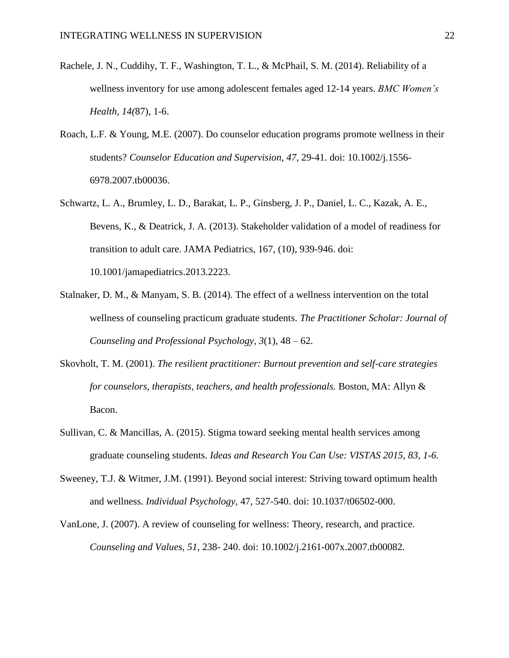- Rachele, J. N., Cuddihy, T. F., Washington, T. L., & McPhail, S. M. (2014). Reliability of a wellness inventory for use among adolescent females aged 12-14 years. *BMC Women's Health, 14(*87), 1-6.
- Roach, L.F. & Young, M.E. (2007). Do counselor education programs promote wellness in their students? *Counselor Education and Supervision, 47,* 29-41. doi: 10.1002/j.1556- 6978.2007.tb00036.
- Schwartz, L. A., Brumley, L. D., Barakat, L. P., Ginsberg, J. P., Daniel, L. C., Kazak, A. E., Bevens, K., & Deatrick, J. A. (2013). Stakeholder validation of a model of readiness for transition to adult care. JAMA Pediatrics, 167, (10), 939-946. doi: 10.1001/jamapediatrics.2013.2223.
- Stalnaker, D. M., & Manyam, S. B. (2014). The effect of a wellness intervention on the total wellness of counseling practicum graduate students. *The Practitioner Scholar: Journal of Counseling and Professional Psychology, 3*(1), 48 – 62.
- Skovholt, T. M. (2001). *The resilient practitioner: Burnout prevention and self-care strategies for counselors, therapists, teachers, and health professionals.* Boston, MA: Allyn & Bacon.
- Sullivan, C. & Mancillas, A. (2015). Stigma toward seeking mental health services among graduate counseling students. *Ideas and Research You Can Use: VISTAS 2015, 83, 1-6.*
- Sweeney, T.J. & Witmer, J.M. (1991). Beyond social interest: Striving toward optimum health and wellness. *Individual Psychology,* 47, 527-540. doi: 10.1037/t06502-000.
- VanLone, J. (2007). A review of counseling for wellness: Theory, research, and practice. *Counseling and Values, 51*, 238- 240. doi: 10.1002/j.2161-007x.2007.tb00082.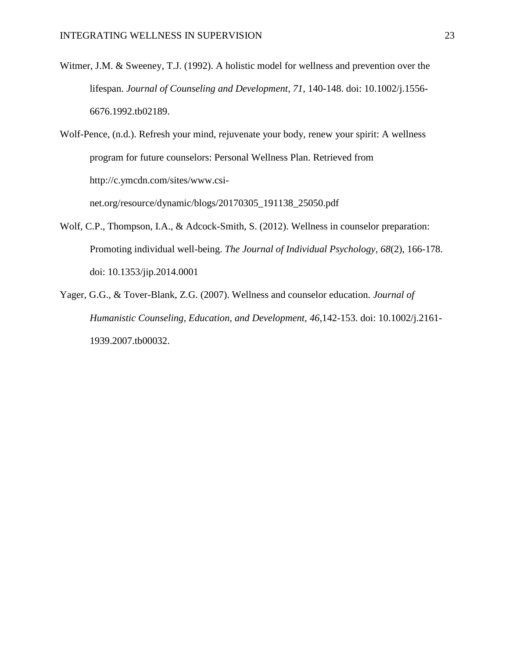Witmer, J.M. & Sweeney, T.J. (1992). A holistic model for wellness and prevention over the lifespan. *Journal of Counseling and Development, 71,* 140-148. doi: 10.1002/j.1556- 6676.1992.tb02189.

Wolf-Pence, (n.d.). Refresh your mind, rejuvenate your body, renew your spirit: A wellness program for future counselors: Personal Wellness Plan. Retrieved from http://c.ymcdn.com/sites/www.csinet.org/resource/dynamic/blogs/20170305\_191138\_25050.pdf

- Wolf, C.P., Thompson, I.A., & Adcock-Smith, S. (2012). Wellness in counselor preparation: Promoting individual well-being. *The Journal of Individual Psychology, 68*(2), 166-178. doi: 10.1353/jip.2014.0001
- Yager, G.G., & Tover-Blank, Z.G. (2007). Wellness and counselor education. *Journal of Humanistic Counseling, Education, and Development, 46*,142-153. doi: 10.1002/j.2161- 1939.2007.tb00032.